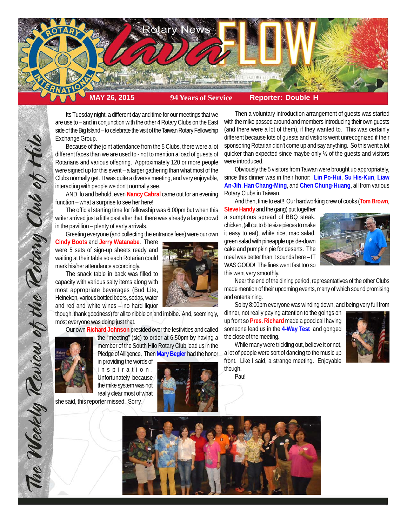

Its Tuesday night, a different day and time for our meetings that we are use to – and in conjunction with the other 4 Rotary Clubs on the East side of the Big Island – to celebrate the visit of the Taiwan Rotary Fellowship Exchange Group.

Because of the joint attendance from the 5 Clubs, there were a lot different faces than we are used to - not to mention a load of guests of Rotarians and various offspring. Approximately 120 or more people were signed up for this event – a larger gathering than what most of the Clubs normally get. It was quite a diverse meeting, and very enjoyable, interacting with people we don't normally see.

AND, lo and behold, even **Nancy Cabral** came out for an evening function – what a surprise to see her here!

The official starting time for fellowship was 6:00pm but when this writer arrived just a little past after that, there was already a large crowd in the pavillion – plenty of early arrivals.

Greeting everyone (and collecting the entrance fees) were our own

**Cindy Boots** and **Jerry Watanabe**. There were 5 sets of sign-up sheets ready and waiting at their table so each Rotarian could mark his/her attendance accordingly.

The snack table in back was filled to capacity with various salty items along with most appropriate beverages (Bud Lite, Heineken, various bottled beers, sodas, water and red and white wines – no hard liquor

though, thank goodness) for all to nibble on and imbibe. And, seemingly, most everyone was doing just that.

Our own **Richard Johnson** presided over the festivities and called

the "meeting" (sic) to order at 6:50pm by having a



The Weekly Review of the Retary Club of thile

member of the South Hilo Rotary Club lead us in the Pledge of Alligence. Then **Mary Begier** had the honor in providing the words of inspiration. Unfortunately because the mike system was not

really clear most of what she said, this reporter missed. Sorry.



Then a voluntary introduction arrangement of guests was started with the mike passed around and members introducing their own guests (and there were a lot of them), if they wanted to. This was certainly different because lots of guests and vistiors went unrecognized if their sponsoring Rotarian didn't come up and say anything. So this went a lot quicker than expected since maybe only ½ of the guests and visitors were introduced.

Obviously the 5 visitors from Taiwan were brought up appropriately, since this dinner was in their honor: **Lin Po-Hui**, **Su His-Kun**, **Liaw An-Jih**, **Han Chang-Ming**, and **Chen Chung-Huang**, all from various Rotary Clubs in Taiwan.

And then, time to eat!! Our hardworking crew of cooks (**Tom Brown**,

**Steve Handy** and the gang) put together a sumptious spread of BBQ steak, chicken, (all cut to bite size pieces to make it easy to eat), white rice, mac salad, green salad with pineapple upside-down cake and pumpkin pie for deserts. The meal was better than it sounds here – IT WAS GOOD! The lines went fast too so this went very smoothly.



Near the end of the dining period, representatives of the other Clubs made mention of their upcoming events, many of which sound promising and entertaining.

So by 8:00pm everyone was winding down, and being very full from

dinner, not really paying attention to the goings on up front so **Pres. Richard** made a good call having someone lead us in the **4-Way Test** and gonged the close of the meeting.



While many were trickling out, believe it or not, a lot of people were sort of dancing to the music up front. Like I said, a strange meeting. Enjoyable though.

Pau!